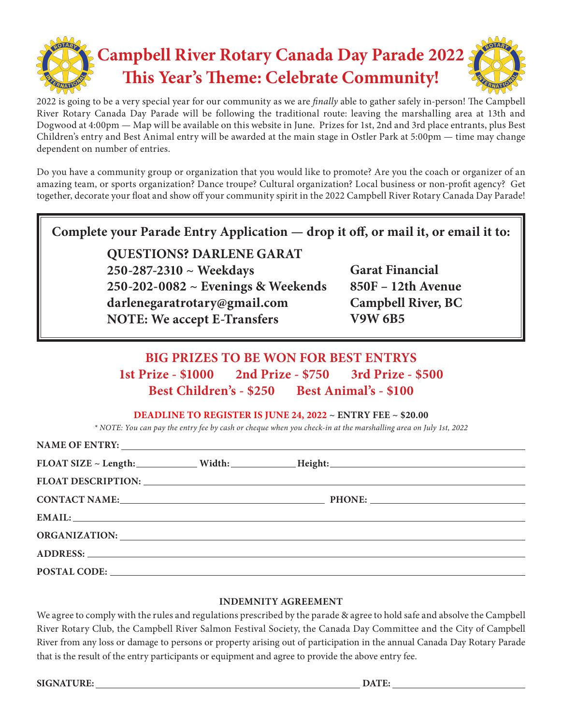

2022 is going to be a very special year for our community as we are *finally* able to gather safely in-person! The Campbell River Rotary Canada Day Parade will be following the traditional route: leaving the marshalling area at 13th and Dogwood at 4:00pm — Map will be available on this website in June. Prizes for 1st, 2nd and 3rd place entrants, plus Best Children's entry and Best Animal entry will be awarded at the main stage in Ostler Park at 5:00pm — time may change dependent on number of entries.

Do you have a community group or organization that you would like to promote? Are you the coach or organizer of an amazing team, or sports organization? Dance troupe? Cultural organization? Local business or non-profit agency? Get together, decorate your float and show off your community spirit in the 2022 Campbell River Rotary Canada Day Parade!

| Complete your Parade Entry Application - drop it off, or mail it, or email it to: |  |
|-----------------------------------------------------------------------------------|--|
|-----------------------------------------------------------------------------------|--|

**QUESTIONS? DARLENE GARAT 250-287-2310 ~ Weekdays 250-202-0082 ~ Evenings & Weekends darlenegaratrotary@gmail.com NOTE: We accept E-Transfers**

**Garat Financial 850F – 12th Avenue Campbell River, BC V9W 6B5**

# **BIG PRIZES TO BE WON FOR BEST ENTRYS 1st Prize - \$1000 2nd Prize - \$750 3rd Prize - \$500 Best Children's - \$250 Best Animal's - \$100**

**DEADLINE TO REGISTER IS JUNE 24, 2022 ~ ENTRY FEE ~ \$20.00**

*\* NOTE: You can pay the entry fee by cash or cheque when you check-in at the marshalling area on July 1st, 2022*

|  | FLOAT SIZE ~ Length: Width: Width: Height: Height: Nicolas 2012 Elements 2014                                                                                                                                                  |  |
|--|--------------------------------------------------------------------------------------------------------------------------------------------------------------------------------------------------------------------------------|--|
|  |                                                                                                                                                                                                                                |  |
|  | CONTACT NAME: PHONE: PHONE:                                                                                                                                                                                                    |  |
|  | EMAIL: EMAIL:                                                                                                                                                                                                                  |  |
|  |                                                                                                                                                                                                                                |  |
|  |                                                                                                                                                                                                                                |  |
|  | POSTAL CODE: Note and the set of the set of the set of the set of the set of the set of the set of the set of the set of the set of the set of the set of the set of the set of the set of the set of the set of the set of th |  |

#### **INDEMNITY AGREEMENT**

We agree to comply with the rules and regulations prescribed by the parade & agree to hold safe and absolve the Campbell River Rotary Club, the Campbell River Salmon Festival Society, the Canada Day Committee and the City of Campbell River from any loss or damage to persons or property arising out of participation in the annual Canada Day Rotary Parade that is the result of the entry participants or equipment and agree to provide the above entry fee.